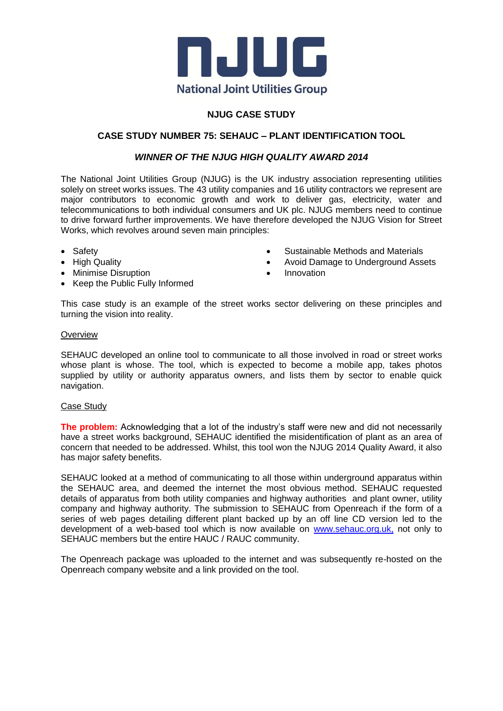

# **NJUG CASE STUDY**

# **CASE STUDY NUMBER 75: SEHAUC – PLANT IDENTIFICATION TOOL**

## *WINNER OF THE NJUG HIGH QUALITY AWARD 2014*

The National Joint Utilities Group (NJUG) is the UK industry association representing utilities solely on street works issues. The 43 utility companies and 16 utility contractors we represent are major contributors to economic growth and work to deliver gas, electricity, water and telecommunications to both individual consumers and UK plc. NJUG members need to continue to drive forward further improvements. We have therefore developed the NJUG Vision for Street Works, which revolves around seven main principles:

- Safety
- High Quality
- Minimise Disruption
- Keep the Public Fully Informed
- Sustainable Methods and Materials
- Avoid Damage to Underground Assets
- Innovation

This case study is an example of the street works sector delivering on these principles and turning the vision into reality.

#### **Overview**

SEHAUC developed an online tool to communicate to all those involved in road or street works whose plant is whose. The tool, which is expected to become a mobile app, takes photos supplied by utility or authority apparatus owners, and lists them by sector to enable quick navigation.

### Case Study

**The problem:** Acknowledging that a lot of the industry's staff were new and did not necessarily have a street works background, SEHAUC identified the misidentification of plant as an area of concern that needed to be addressed. Whilst, this tool won the NJUG 2014 Quality Award, it also has major safety benefits.

SEHAUC looked at a method of communicating to all those within underground apparatus within the SEHAUC area, and deemed the internet the most obvious method. SEHAUC requested details of apparatus from both utility companies and highway authorities and plant owner, utility company and highway authority. The submission to SEHAUC from Openreach if the form of a series of web pages detailing different plant backed up by an off line CD version led to the development of a web-based tool which is now available on [www.sehauc.org.uk,](http://www.sehauc.org.uk/) not only to SEHAUC members but the entire HAUC / RAUC community.

The Openreach package was uploaded to the internet and was subsequently re-hosted on the Openreach company website and a link provided on the tool.